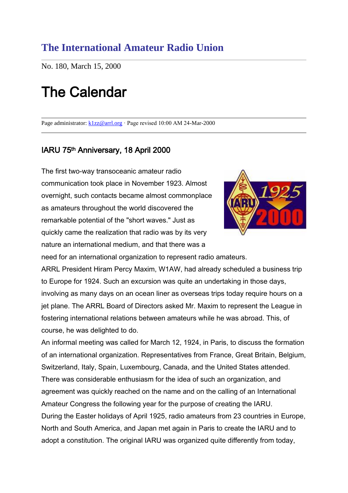# **The International Amateur Radio Union**

No. 180, March 15, 2000

# The Calendar

Page administrator: [k1zz@arrl.org](mailto:k1zz@arrl.org) · Page revised 10:00 AM 24-Mar-2000

### IARU 75th Anniversary, 18 April 2000

The first two-way transoceanic amateur radio communication took place in November 1923. Almost overnight, such contacts became almost commonplace as amateurs throughout the world discovered the remarkable potential of the "short waves." Just as quickly came the realization that radio was by its very nature an international medium, and that there was a



need for an international organization to represent radio amateurs.

ARRL President Hiram Percy Maxim, W1AW, had already scheduled a business trip to Europe for 1924. Such an excursion was quite an undertaking in those days, involving as many days on an ocean liner as overseas trips today require hours on a jet plane. The ARRL Board of Directors asked Mr. Maxim to represent the League in fostering international relations between amateurs while he was abroad. This, of course, he was delighted to do.

An informal meeting was called for March 12, 1924, in Paris, to discuss the formation of an international organization. Representatives from France, Great Britain, Belgium, Switzerland, Italy, Spain, Luxembourg, Canada, and the United States attended. There was considerable enthusiasm for the idea of such an organization, and agreement was quickly reached on the name and on the calling of an International Amateur Congress the following year for the purpose of creating the IARU. During the Easter holidays of April 1925, radio amateurs from 23 countries in Europe, North and South America, and Japan met again in Paris to create the IARU and to adopt a constitution. The original IARU was organized quite differently from today,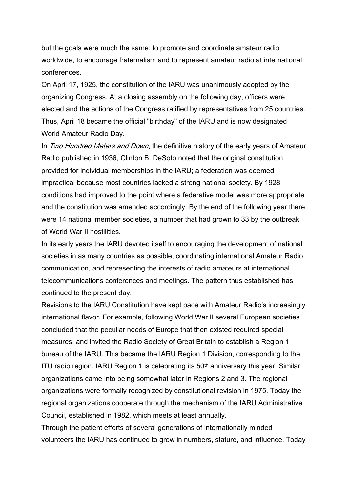but the goals were much the same: to promote and coordinate amateur radio worldwide, to encourage fraternalism and to represent amateur radio at international conferences.

On April 17, 1925, the constitution of the IARU was unanimously adopted by the organizing Congress. At a closing assembly on the following day, officers were elected and the actions of the Congress ratified by representatives from 25 countries. Thus, April 18 became the official "birthday" of the IARU and is now designated World Amateur Radio Day.

In Two Hundred Meters and Down, the definitive history of the early years of Amateur Radio published in 1936, Clinton B. DeSoto noted that the original constitution provided for individual memberships in the IARU; a federation was deemed impractical because most countries lacked a strong national society. By 1928 conditions had improved to the point where a federative model was more appropriate and the constitution was amended accordingly. By the end of the following year there were 14 national member societies, a number that had grown to 33 by the outbreak of World War II hostilities.

In its early years the IARU devoted itself to encouraging the development of national societies in as many countries as possible, coordinating international Amateur Radio communication, and representing the interests of radio amateurs at international telecommunications conferences and meetings. The pattern thus established has continued to the present day.

Revisions to the IARU Constitution have kept pace with Amateur Radio's increasingly international flavor. For example, following World War II several European societies concluded that the peculiar needs of Europe that then existed required special measures, and invited the Radio Society of Great Britain to establish a Region 1 bureau of the IARU. This became the IARU Region 1 Division, corresponding to the ITU radio region. IARU Region 1 is celebrating its 50th anniversary this year. Similar organizations came into being somewhat later in Regions 2 and 3. The regional organizations were formally recognized by constitutional revision in 1975. Today the regional organizations cooperate through the mechanism of the IARU Administrative Council, established in 1982, which meets at least annually.

Through the patient efforts of several generations of internationally minded volunteers the IARU has continued to grow in numbers, stature, and influence. Today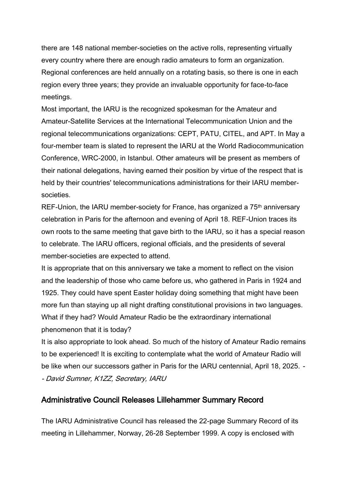there are 148 national member-societies on the active rolls, representing virtually every country where there are enough radio amateurs to form an organization. Regional conferences are held annually on a rotating basis, so there is one in each region every three years; they provide an invaluable opportunity for face-to-face meetings.

Most important, the IARU is the recognized spokesman for the Amateur and Amateur-Satellite Services at the International Telecommunication Union and the regional telecommunications organizations: CEPT, PATU, CITEL, and APT. In May a four-member team is slated to represent the IARU at the World Radiocommunication Conference, WRC-2000, in Istanbul. Other amateurs will be present as members of their national delegations, having earned their position by virtue of the respect that is held by their countries' telecommunications administrations for their IARU membersocieties.

REF-Union, the IARU member-society for France, has organized a 75<sup>th</sup> anniversary celebration in Paris for the afternoon and evening of April 18. REF-Union traces its own roots to the same meeting that gave birth to the IARU, so it has a special reason to celebrate. The IARU officers, regional officials, and the presidents of several member-societies are expected to attend.

It is appropriate that on this anniversary we take a moment to reflect on the vision and the leadership of those who came before us, who gathered in Paris in 1924 and 1925. They could have spent Easter holiday doing something that might have been more fun than staying up all night drafting constitutional provisions in two languages. What if they had? Would Amateur Radio be the extraordinary international phenomenon that it is today?

It is also appropriate to look ahead. So much of the history of Amateur Radio remains to be experienced! It is exciting to contemplate what the world of Amateur Radio will be like when our successors gather in Paris for the IARU centennial, April 18, 2025. - - David Sumner, K1ZZ, Secretary, IARU

#### Administrative Council Releases Lillehammer Summary Record

The IARU Administrative Council has released the 22-page Summary Record of its meeting in Lillehammer, Norway, 26-28 September 1999. A copy is enclosed with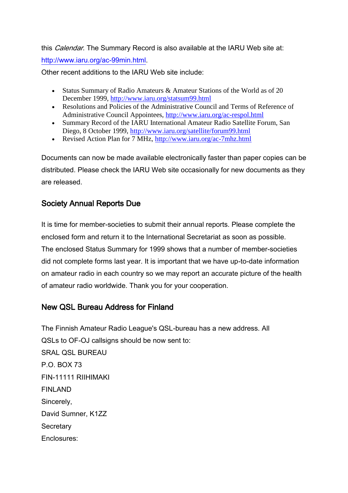this *Calendar*. The Summary Record is also available at the IARU Web site at: [http://www.iaru.org/ac-99min.html.](http://www.iaru.org/ac-99min.html)

Other recent additions to the IARU Web site include:

- Status Summary of Radio Amateurs & Amateur Stations of the World as of 20 December 1999,<http://www.iaru.org/statsum99.html>
- Resolutions and Policies of the Administrative Council and Terms of Reference of Administrative Council Appointees,<http://www.iaru.org/ac-respol.html>
- Summary Record of the IARU International Amateur Radio Satellite Forum, San Diego, 8 October 1999,<http://www.iaru.org/satellite/forum99.html>
- Revised Action Plan for 7 MHz,<http://www.iaru.org/ac-7mhz.html>

Documents can now be made available electronically faster than paper copies can be distributed. Please check the IARU Web site occasionally for new documents as they are released.

## Society Annual Reports Due

It is time for member-societies to submit their annual reports. Please complete the enclosed form and return it to the International Secretariat as soon as possible. The enclosed Status Summary for 1999 shows that a number of member-societies did not complete forms last year. It is important that we have up-to-date information on amateur radio in each country so we may report an accurate picture of the health of amateur radio worldwide. Thank you for your cooperation.

# New QSL Bureau Address for Finland

The Finnish Amateur Radio League's QSL-bureau has a new address. All QSLs to OF-OJ callsigns should be now sent to: SRAL QSL BUREAU P.O. BOX 73 FIN-11111 RIIHIMAKI FINLAND Sincerely, David Sumner, K1ZZ **Secretary** Enclosures: